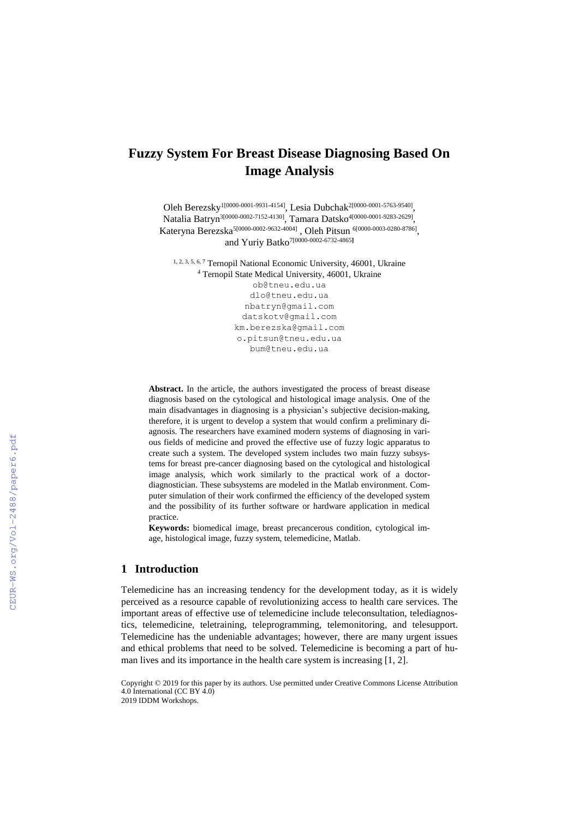# **Fuzzy System For Breast Disease Diagnosing Based On Image Analysis**

Oleh Berezsky<sup>1[0000-0001-9931-4154]</sup>, Lesia Dubchak<sup>2[0000-0001-5763-9540]</sup>, Natalia Batryn 3[0000-0002-7152-4130] , Tamara Datsko 4[0000-0001-9283-2629] , Kateryna Berezska<sup>5[0000-0002-9632-4004]</sup>, Oleh Pitsun <sup>6[0000-0003-0280-8786]</sup>, and Yuriy Batko 7[0000-0002-6732-4865**]**

1, 2, 3, 5, 6, <sup>7</sup> Ternopil National Economic University, 46001, Ukraine <sup>4</sup> Ternopil State Medical University, 46001, Ukraine [ob@tneu.edu.ua](mailto:ob@tneu.edu.ua)

> dlo@tneu.edu.ua [nbatryn@gmail.com](mailto:nbatryn@gmail.com) [datskotv@gmail.com](mailto:datskotv@gmail.com) [km.berezska@gmail.com](mailto:km.berezska@gmail.com) [o.pitsun@tneu.edu.ua](mailto:o.pitsun@tneu.edu.ua) bum@tneu.edu.ua

**Abstract.** In the article, the authors investigated the process of breast disease diagnosis based on the cytological and histological image analysis. One of the main disadvantages in diagnosing is a physician's subjective decision-making, therefore, it is urgent to develop a system that would confirm a preliminary diagnosis. The researchers have examined modern systems of diagnosing in various fields of medicine and proved the effective use of fuzzy logic apparatus to create such a system. The developed system includes two main fuzzy subsystems for breast pre-cancer diagnosing based on the cytological and histological image analysis, which work similarly to the practical work of a doctordiagnostician. These subsystems are modeled in the Matlab environment. Computer simulation of their work confirmed the efficiency of the developed system and the possibility of its further software or hardware application in medical practice.

**Keywords:** biomedical image, breast precancerous condition, cytological image, histological image, fuzzy system, telemedicine, Matlab.

### **1 Introduction**

CEUR-WS.org/Vol-2488/paper6.pdf

Telemedicine has an increasing tendency for the development today, as it is widely perceived as a resource capable of revolutionizing access to health care services. The important areas of effective use of telemedicine include teleconsultation, telediagnostics, telemedicine, teletraining, teleprogramming, telemonitoring, and telesupport. Telemedicine has the undeniable advantages; however, there are many urgent issues and ethical problems that need to be solved. Telemedicine is becoming a part of human lives and its importance in the health care system is increasing [1, 2].

Copyright © 2019 for this paper by its authors. Use permitted under Creative Commons License Attribution 4.0 International (CC BY 4.0) 2019 IDDM Workshops.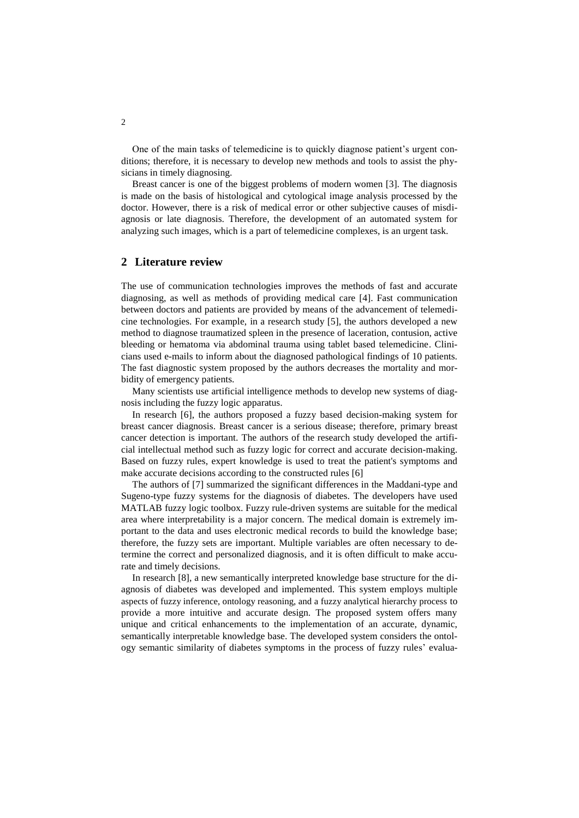One of the main tasks of telemedicine is to quickly diagnose patient's urgent conditions; therefore, it is necessary to develop new methods and tools to assist the physicians in timely diagnosing.

Breast cancer is one of the biggest problems of modern women [3]. The diagnosis is made on the basis of histological and cytological image analysis processed by the doctor. However, there is a risk of medical error or other subjective causes of misdiagnosis or late diagnosis. Therefore, the development of an automated system for analyzing such images, which is a part of telemedicine complexes, is an urgent task.

### **2 Literature review**

The use of communication technologies improves the methods of fast and accurate diagnosing, as well as methods of providing medical care [4]. Fast communication between doctors and patients are provided by means of the advancement of telemedicine technologies. For example, in a research study [5], the authors developed a new method to diagnose traumatized spleen in the presence of laceration, contusion, active bleeding or hematoma via abdominal trauma using tablet based telemedicine. Clinicians used e-mails to inform about the diagnosed pathological findings of 10 patients. The fast diagnostic system proposed by the authors decreases the mortality and morbidity of emergency patients.

Many scientists use artificial intelligence methods to develop new systems of diagnosis including the fuzzy logic apparatus.

In research [6], the authors proposed a fuzzy based decision-making system for breast cancer diagnosis. Breast cancer is a serious disease; therefore, primary breast cancer detection is important. The authors of the research study developed the artificial intellectual method such as fuzzy logic for correct and accurate decision-making. Based on fuzzy rules, expert knowledge is used to treat the patient's symptoms and make accurate decisions according to the constructed rules [6]

The authors of [7] summarized the significant differences in the Maddani-type and Sugeno-type fuzzy systems for the diagnosis of diabetes. The developers have used MATLAB fuzzy logic toolbox. Fuzzy rule-driven systems are suitable for the medical area where interpretability is a major concern. The medical domain is extremely important to the data and uses electronic medical records to build the knowledge base; therefore, the fuzzy sets are important. Multiple variables are often necessary to determine the correct and personalized diagnosis, and it is often difficult to make accurate and timely decisions.

In research [8], a new semantically interpreted knowledge base structure for the diagnosis of diabetes was developed and implemented. This system employs multiple aspects of fuzzy inference, ontology reasoning, and a fuzzy analytical hierarchy process to provide a more intuitive and accurate design. The proposed system offers many unique and critical enhancements to the implementation of an accurate, dynamic, semantically interpretable knowledge base. The developed system considers the ontology semantic similarity of diabetes symptoms in the process of fuzzy rules' evalua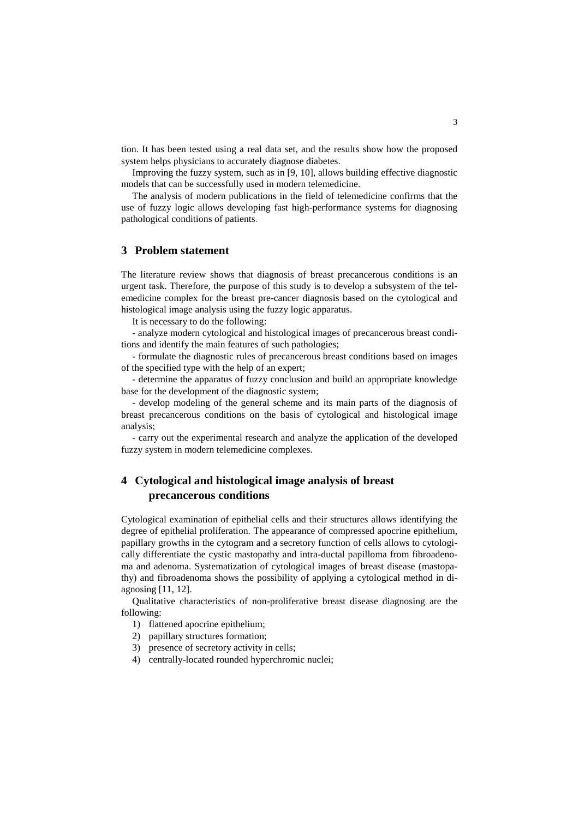tion. It has been tested using a real data set, and the results show how the proposed system helps physicians to accurately diagnose diabetes.

Improving the fuzzy system, such as in [9, 10], allows building effective diagnostic models that can be successfully used in modern telemedicine.

The analysis of modern publications in the field of telemedicine confirms that the use of fuzzy logic allows developing fast high-performance systems for diagnosing pathological conditions of patients.

### **3 Problem statement**

The literature review shows that diagnosis of breast precancerous conditions is an urgent task. Therefore, the purpose of this study is to develop a subsystem of the telemedicine complex for the breast pre-cancer diagnosis based on the cytological and histological image analysis using the fuzzy logic apparatus.

It is necessary to do the following:

- analyze modern cytological and histological images of precancerous breast conditions and identify the main features of such pathologies;

- formulate the diagnostic rules of precancerous breast conditions based on images of the specified type with the help of an expert;

- determine the apparatus of fuzzy conclusion and build an appropriate knowledge base for the development of the diagnostic system;

- develop modeling of the general scheme and its main parts of the diagnosis of breast precancerous conditions on the basis of cytological and histological image analysis;

- carry out the experimental research and analyze the application of the developed fuzzy system in modern telemedicine complexes.

### **4 Cytological and histological image analysis of breast precancerous conditions**

Cytological examination of epithelial cells and their structures allows identifying the degree of epithelial proliferation. The appearance of compressed apocrine epithelium, papillary growths in the cytogram and a secretory function of cells allows to cytologically differentiate the cystic mastopathy and intra-ductal papilloma from fibroadenoma and adenoma. Systematization of cytological images of breast disease (mastopathy) and fibroadenoma shows the possibility of applying a cytological method in diagnosing [11, 12].

Qualitative characteristics of non-proliferative breast disease diagnosing are the following:

- 1) flattened apocrine epithelium;
- 2) papillary structures formation;
- 3) presence of secretory activity in cells;
- 4) centrally-located rounded hyperchromic nuclei;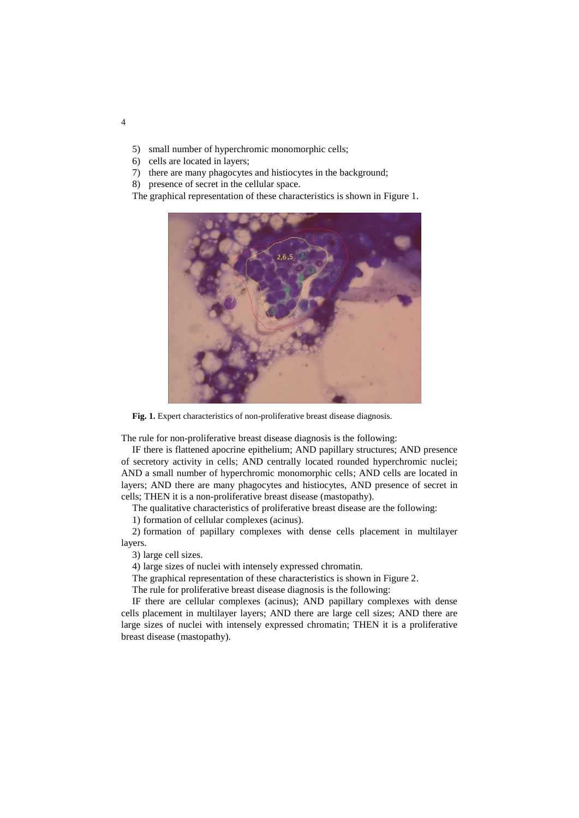- 5) small number of hyperchromic monomorphic cells;
- 6) cells are located in layers;
- 7) there are many phagocytes and histiocytes in the background;
- 8) presence of secret in the cellular space.

The graphical representation of these characteristics is shown in Figure 1.



Fig. 1. Expert characteristics of non-proliferative breast disease diagnosis.

The rule for non-proliferative breast disease diagnosis is the following:

IF there is flattened apocrine epithelium; AND papillary structures; AND presence of secretory activity in cells; AND centrally located rounded hyperchromic nuclei; AND a small number of hyperchromic monomorphic cells; AND cells are located in layers; AND there are many phagocytes and histiocytes, AND presence of secret in cells; THEN it is a non-proliferative breast disease (mastopathy).

The qualitative characteristics of proliferative breast disease are the following:

1) formation of cellular complexes (acinus).

2) formation of papillary complexes with dense cells placement in multilayer layers.

3) large cell sizes.

4) large sizes of nuclei with intensely expressed chromatin.

The graphical representation of these characteristics is shown in Figure 2.

The rule for proliferative breast disease diagnosis is the following:

IF there are cellular complexes (acinus); AND papillary complexes with dense cells placement in multilayer layers; AND there are large cell sizes; AND there are large sizes of nuclei with intensely expressed chromatin; THEN it is a proliferative breast disease (mastopathy).

4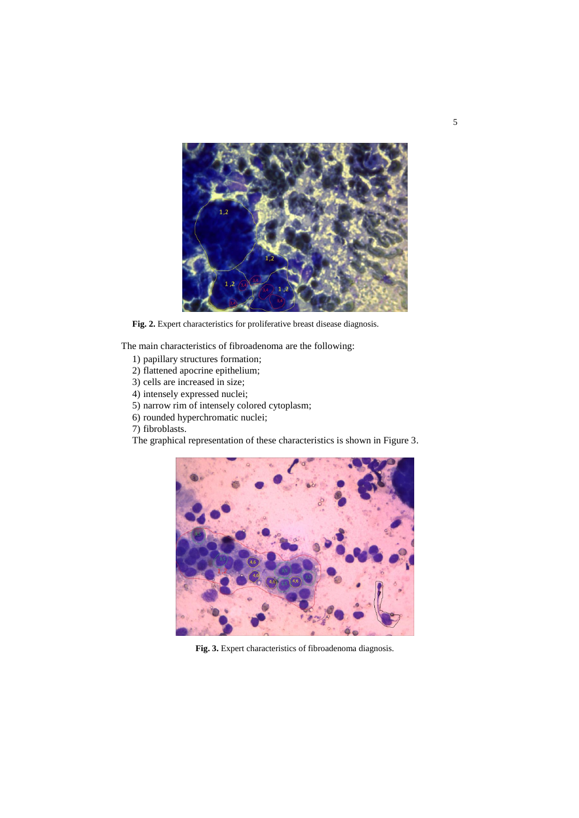

Fig. 2. Expert characteristics for proliferative breast disease diagnosis.

The main characteristics of fibroadenoma are the following:

- 1) papillary structures formation;
- 2) flattened apocrine epithelium;
- 3) cells are increased in size;
- 4) intensely expressed nuclei;
- 5) narrow rim of intensely colored cytoplasm;
- 6) rounded hyperchromatic nuclei;
- 7) fibroblasts.

The graphical representation of these characteristics is shown in Figure 3.



**Fig. 3.** Expert characteristics of fibroadenoma diagnosis.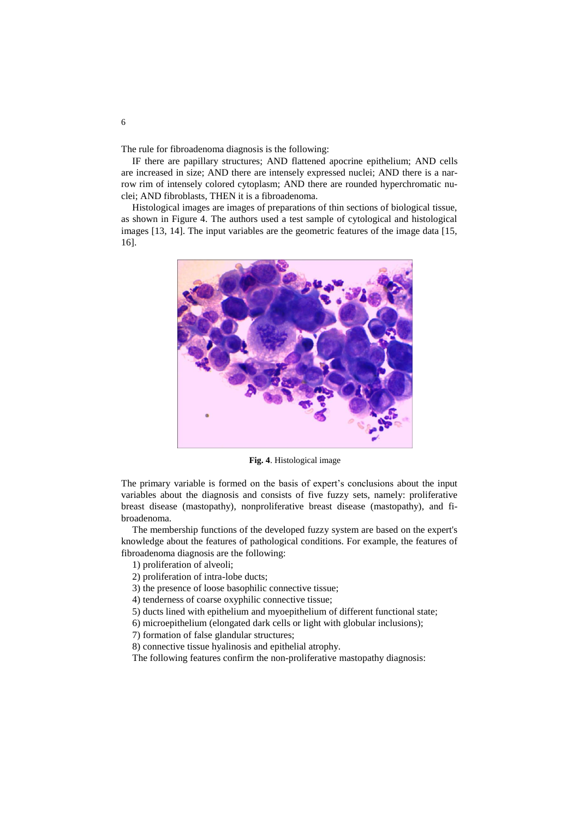The rule for fibroadenoma diagnosis is the following:

IF there are papillary structures; AND flattened apocrine epithelium; AND cells are increased in size; AND there are intensely expressed nuclei; AND there is a narrow rim of intensely colored cytoplasm; AND there are rounded hyperchromatic nuclei; AND fibroblasts, THEN it is a fibroadenoma.

Histological images are images of preparations of thin sections of biological tissue, as shown in Figure 4. The authors used a test sample of cytological and histological images [13, 14]. The input variables are the geometric features of the image data [15, 16].



**Fig. 4**. Histological image

The primary variable is formed on the basis of expert's conclusions about the input variables about the diagnosis and consists of five fuzzy sets, namely: proliferative breast disease (mastopathy), nonproliferative breast disease (mastopathy), and fibroadenoma.

The membership functions of the developed fuzzy system are based on the expert's knowledge about the features of pathological conditions. For example, the features of fibroadenoma diagnosis are the following:

1) proliferation of alveoli;

2) proliferation of intra-lobe ducts;

3) the presence of loose basophilic connective tissue;

4) tenderness of coarse oxyphilic connective tissue;

5) ducts lined with epithelium and myoepithelium of different functional state;

6) microepithelium (elongated dark cells or light with globular inclusions);

7) formation of false glandular structures;

8) connective tissue hyalinosis and epithelial atrophy.

The following features confirm the non-proliferative mastopathy diagnosis: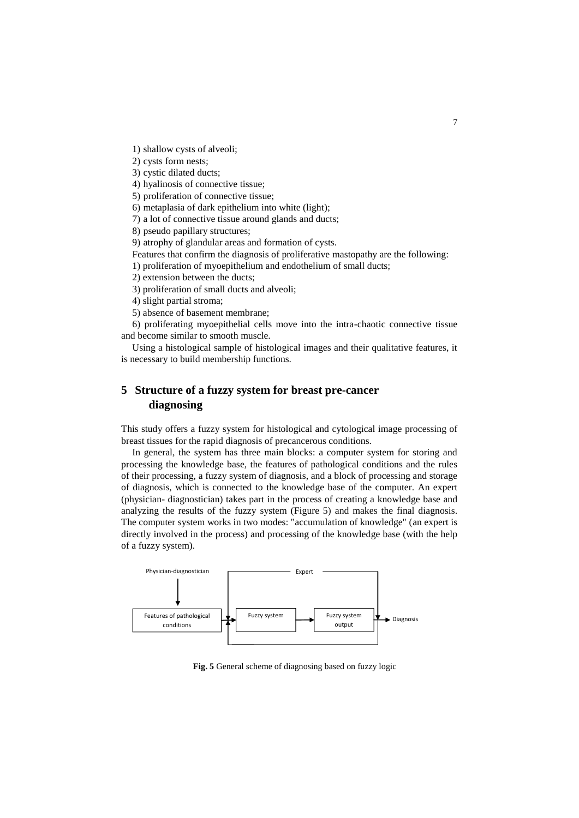1) shallow cysts of alveoli;

2) cysts form nests;

3) cystic dilated ducts;

4) hyalinosis of connective tissue;

5) proliferation of connective tissue;

6) metaplasia of dark epithelium into white (light);

7) a lot of connective tissue around glands and ducts;

8) pseudo papillary structures;

9) atrophy of glandular areas and formation of cysts.

Features that confirm the diagnosis of proliferative mastopathy are the following:

1) proliferation of myoepithelium and endothelium of small ducts;

2) extension between the ducts;

3) proliferation of small ducts and alveoli;

4) slight partial stroma;

5) absence of basement membrane;

6) proliferating myoepithelial cells move into the intra-chaotic connective tissue and become similar to smooth muscle.

Using a histological sample of histological images and their qualitative features, it is necessary to build membership functions.

# **5 Structure of a fuzzy system for breast pre-cancer diagnosing**

This study offers a fuzzy system for histological and cytological image processing of breast tissues for the rapid diagnosis of precancerous conditions.

In general, the system has three main blocks: a computer system for storing and processing the knowledge base, the features of pathological conditions and the rules of their processing, a fuzzy system of diagnosis, and a block of processing and storage of diagnosis, which is connected to the knowledge base of the computer. An expert (physician- diagnostician) takes part in the process of creating a knowledge base and analyzing the results of the fuzzy system (Figure 5) and makes the final diagnosis. The computer system works in two modes: "accumulation of knowledge" (an expert is directly involved in the process) and processing of the knowledge base (with the help of a fuzzy system).



**Fig. 5** General scheme of diagnosing based on fuzzy logic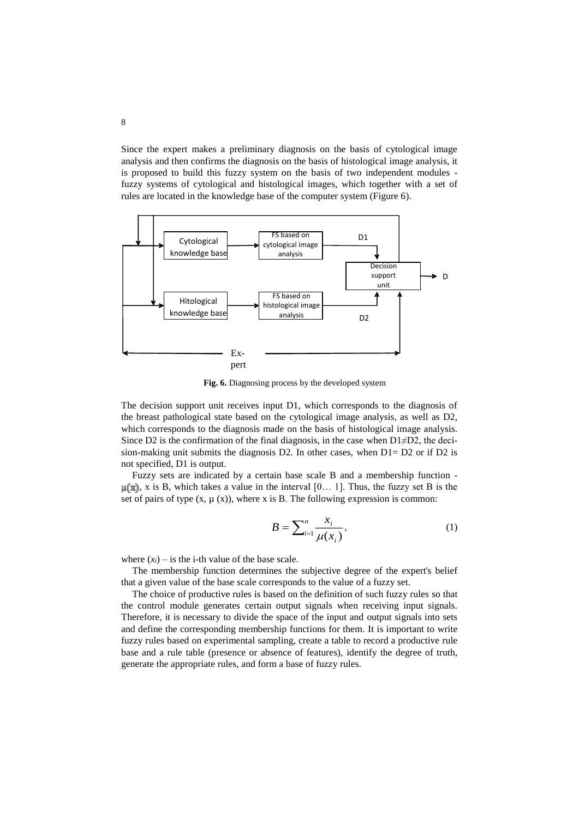Since the expert makes a preliminary diagnosis on the basis of cytological image analysis and then confirms the diagnosis on the basis of histological image analysis, it is proposed to build this fuzzy system on the basis of two independent modules fuzzy systems of cytological and histological images, which together with a set of rules are located in the knowledge base of the computer system (Figure 6).



**Fig. 6.** Diagnosing process by the developed system

The decision support unit receives input D1, which corresponds to the diagnosis of the breast pathological state based on the cytological image analysis, as well as D2, which corresponds to the diagnosis made on the basis of histological image analysis. Since D2 is the confirmation of the final diagnosis, in the case when  $D1 \neq D2$ , the decision-making unit submits the diagnosis D2. In other cases, when D1= D2 or if D2 is not specified, D1 is output.

Fuzzy sets are indicated by a certain base scale B and a membership function -  $\mu(x)$ , x is B, which takes a value in the interval [0... 1]. Thus, the fuzzy set B is the set of pairs of type  $(x, \mu(x))$ , where x is B. The following expression is common:

$$
B = \sum_{i=1}^{n} \frac{x_i}{\mu(x_i)},
$$
\n(1)

where  $(x_i)$  – is the i-th value of the base scale.

The membership function determines the subjective degree of the expert's belief that a given value of the base scale corresponds to the value of a fuzzy set.

The choice of productive rules is based on the definition of such fuzzy rules so that the control module generates certain output signals when receiving input signals. Therefore, it is necessary to divide the space of the input and output signals into sets and define the corresponding membership functions for them. It is important to write fuzzy rules based on experimental sampling, create a table to record a productive rule base and a rule table (presence or absence of features), identify the degree of truth, generate the appropriate rules, and form a base of fuzzy rules.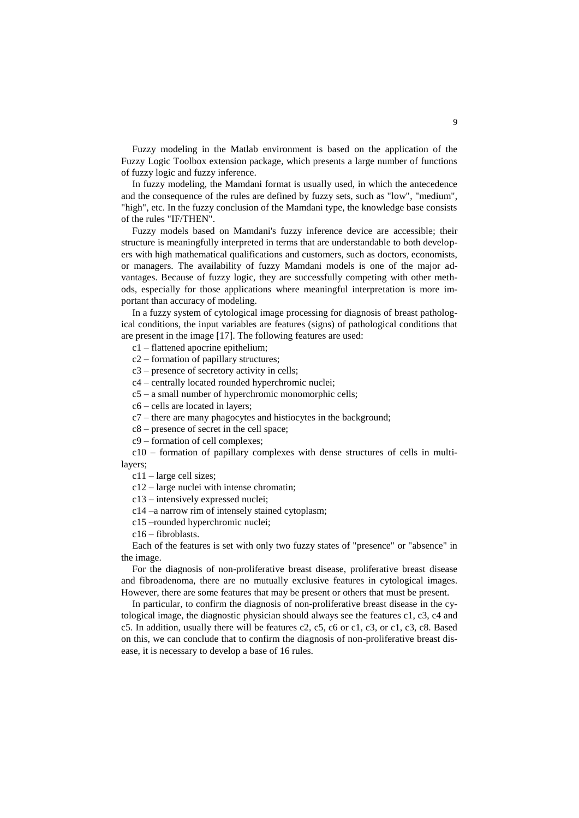Fuzzy modeling in the Matlab environment is based on the application of the Fuzzy Logic Toolbox extension package, which presents a large number of functions of fuzzy logic and fuzzy inference.

In fuzzy modeling, the Mamdani format is usually used, in which the antecedence and the consequence of the rules are defined by fuzzy sets, such as "low", "medium", "high", etc. In the fuzzy conclusion of the Mamdani type, the knowledge base consists of the rules "IF/THEN".

Fuzzy models based on Mamdani's fuzzy inference device are accessible; their structure is meaningfully interpreted in terms that are understandable to both developers with high mathematical qualifications and customers, such as doctors, economists, or managers. The availability of fuzzy Mamdani models is one of the major advantages. Because of fuzzy logic, they are successfully competing with other methods, especially for those applications where meaningful interpretation is more important than accuracy of modeling.

In a fuzzy system of cytological image processing for diagnosis of breast pathological conditions, the input variables are features (signs) of pathological conditions that are present in the image [17]. The following features are used:

c1 – flattened apocrine epithelium;

c2 – formation of papillary structures;

c3 – presence of secretory activity in cells;

c4 – centrally located rounded hyperchromic nuclei;

 $c5 - a$  small number of hyperchromic monomorphic cells;

c6 – cells are located in layers;

c7 – there are many phagocytes and histiocytes in the background;

c8 – presence of secret in the cell space;

c9 – formation of cell complexes;

c10 – formation of papillary complexes with dense structures of cells in multilayers;

c11 – large cell sizes;

c12 – large nuclei with intense chromatin;

c13 – intensively expressed nuclei;

c14 –a narrow rim of intensely stained cytoplasm;

c15 –rounded hyperchromic nuclei;

c16 – fibroblasts.

Each of the features is set with only two fuzzy states of "presence" or "absence" in the image.

For the diagnosis of non-proliferative breast disease, proliferative breast disease and fibroadenoma, there are no mutually exclusive features in cytological images. However, there are some features that may be present or others that must be present.

In particular, to confirm the diagnosis of non-proliferative breast disease in the cytological image, the diagnostic physician should always see the features c1, c3, c4 and c5. In addition, usually there will be features c2, c5, c6 or c1, c3, or c1, c3, c8. Based on this, we can conclude that to confirm the diagnosis of non-proliferative breast disease, it is necessary to develop a base of 16 rules.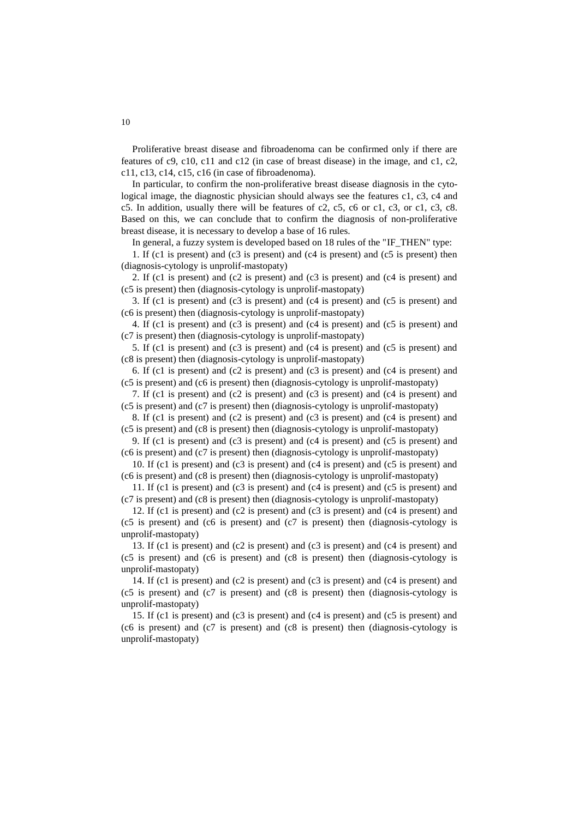Proliferative breast disease and fibroadenoma can be confirmed only if there are features of c9, c10, c11 and c12 (in case of breast disease) in the image, and c1, c2, c11, c13, c14, c15, c16 (in case of fibroadenoma).

In particular, to confirm the non-proliferative breast disease diagnosis in the cytological image, the diagnostic physician should always see the features c1, c3, c4 and c5. In addition, usually there will be features of c2, c5, c6 or c1, c3, or c1, c3, c8. Based on this, we can conclude that to confirm the diagnosis of non-proliferative breast disease, it is necessary to develop a base of 16 rules.

In general, a fuzzy system is developed based on 18 rules of the "IF THEN" type:

1. If (c1 is present) and (c3 is present) and (c4 is present) and (c5 is present) then (diagnosis-cytology is unprolif-mastopaty)

2. If (c1 is present) and (c2 is present) and (c3 is present) and (c4 is present) and (c5 is present) then (diagnosis-cytology is unprolif-mastopaty)

3. If (c1 is present) and (c3 is present) and (c4 is present) and (c5 is present) and (c6 is present) then (diagnosis-cytology is unprolif-mastopaty)

4. If (c1 is present) and (c3 is present) and (c4 is present) and (c5 is present) and (c7 is present) then (diagnosis-cytology is unprolif-mastopaty)

5. If (c1 is present) and (c3 is present) and (c4 is present) and (c5 is present) and (c8 is present) then (diagnosis-cytology is unprolif-mastopaty)

6. If (c1 is present) and (c2 is present) and (c3 is present) and (c4 is present) and (c5 is present) and (c6 is present) then (diagnosis-cytology is unprolif-mastopaty)

7. If (c1 is present) and (c2 is present) and (c3 is present) and (c4 is present) and (c5 is present) and (c7 is present) then (diagnosis-cytology is unprolif-mastopaty)

8. If (c1 is present) and (c2 is present) and (c3 is present) and (c4 is present) and (c5 is present) and (c8 is present) then (diagnosis-cytology is unprolif-mastopaty)

9. If (c1 is present) and (c3 is present) and (c4 is present) and (c5 is present) and (c6 is present) and (c7 is present) then (diagnosis-cytology is unprolif-mastopaty)

10. If (c1 is present) and (c3 is present) and (c4 is present) and (c5 is present) and (c6 is present) and (c8 is present) then (diagnosis-cytology is unprolif-mastopaty)

11. If (c1 is present) and (c3 is present) and (c4 is present) and (c5 is present) and (c7 is present) and (c8 is present) then (diagnosis-cytology is unprolif-mastopaty)

12. If (c1 is present) and (c2 is present) and (c3 is present) and (c4 is present) and (c5 is present) and (c6 is present) and (c7 is present) then (diagnosis-cytology is unprolif-mastopaty)

13. If (c1 is present) and (c2 is present) and (c3 is present) and (c4 is present) and (c5 is present) and (c6 is present) and (c8 is present) then (diagnosis-cytology is unprolif-mastopaty)

14. If (c1 is present) and (c2 is present) and (c3 is present) and (c4 is present) and (c5 is present) and (c7 is present) and (c8 is present) then (diagnosis-cytology is unprolif-mastopaty)

15. If (c1 is present) and (c3 is present) and (c4 is present) and (c5 is present) and (c6 is present) and (c7 is present) and (c8 is present) then (diagnosis-cytology is unprolif-mastopaty)

10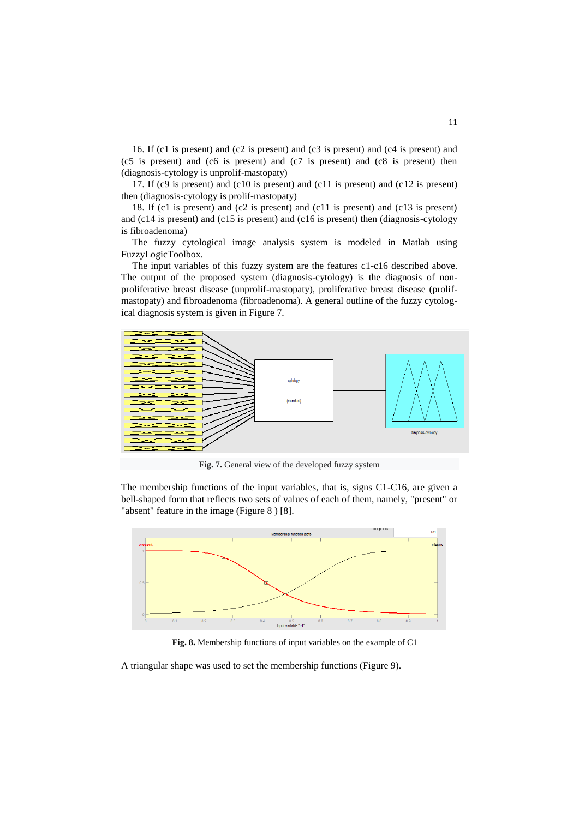16. If (c1 is present) and (c2 is present) and (c3 is present) and (c4 is present) and (c5 is present) and (c6 is present) and (c7 is present) and (c8 is present) then (diagnosis-cytology is unprolif-mastopaty)

17. If (c9 is present) and (c10 is present) and (c11 is present) and (c12 is present) then (diagnosis-cytology is prolif-mastopaty)

18. If (c1 is present) and (c2 is present) and (c11 is present) and (c13 is present) and (c14 is present) and (c15 is present) and (c16 is present) then (diagnosis-cytology is fibroadenoma)

The fuzzy cytological image analysis system is modeled in Matlab using FuzzyLogicToolbox.

The input variables of this fuzzy system are the features c1-c16 described above. The output of the proposed system (diagnosis-cytology) is the diagnosis of nonproliferative breast disease (unprolif-mastopaty), proliferative breast disease (prolifmastopaty) and fibroadenoma (fibroadenoma). A general outline of the fuzzy cytological diagnosis system is given in Figure 7.



**Fig. 7.** General view of the developed fuzzy system

The membership functions of the input variables, that is, signs C1-C16, are given a bell-shaped form that reflects two sets of values of each of them, namely, "present" or "absent" feature in the image (Figure 8 ) [8].



**Fig. 8.** Membership functions of input variables on the example of C1

A triangular shape was used to set the membership functions (Figure 9).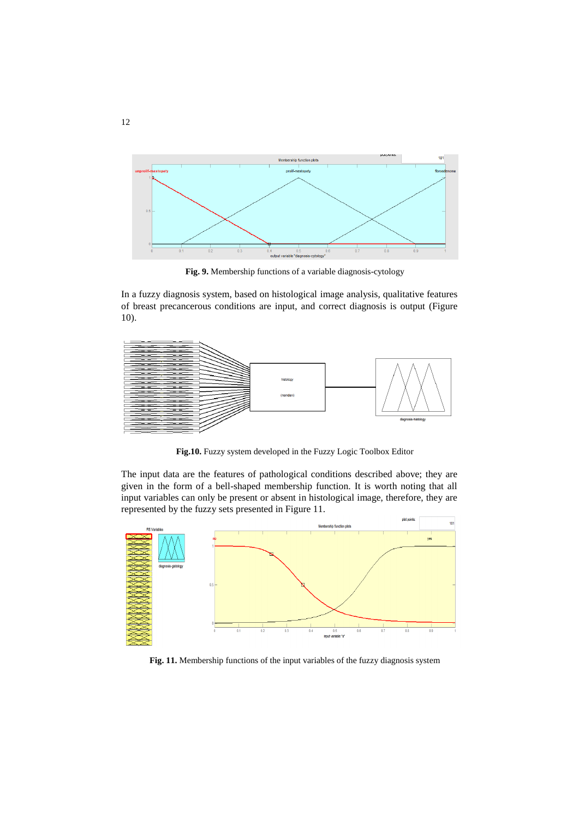

**Fig. 9.** Membership functions of a variable diagnosis-cytology

In a fuzzy diagnosis system, based on histological image analysis, qualitative features of breast precancerous conditions are input, and correct diagnosis is output (Figure 10).



**Fig.10.** Fuzzy system developed in the Fuzzy Logic Toolbox Editor

The input data are the features of pathological conditions described above; they are given in the form of a bell-shaped membership function. It is worth noting that all input variables can only be present or absent in histological image, therefore, they are represented by the fuzzy sets presented in Figure 11.



**Fig. 11.** Membership functions of the input variables of the fuzzy diagnosis system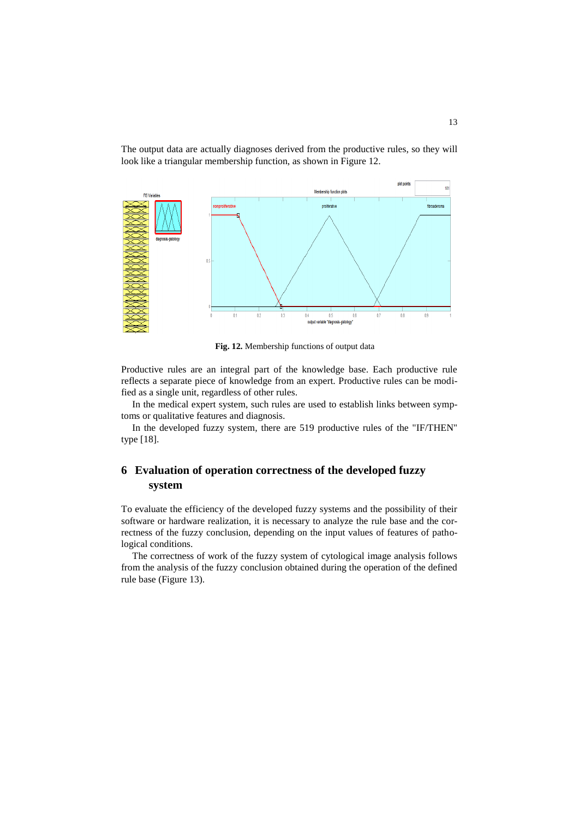The output data are actually diagnoses derived from the productive rules, so they will look like a triangular membership function, as shown in Figure 12.



**Fig. 12.** Membership functions of output data

Productive rules are an integral part of the knowledge base. Each productive rule reflects a separate piece of knowledge from an expert. Productive rules can be modified as a single unit, regardless of other rules.

In the medical expert system, such rules are used to establish links between symptoms or qualitative features and diagnosis.

In the developed fuzzy system, there are 519 productive rules of the "IF/THEN" type [18].

# **6 Evaluation of operation correctness of the developed fuzzy system**

To evaluate the efficiency of the developed fuzzy systems and the possibility of their software or hardware realization, it is necessary to analyze the rule base and the correctness of the fuzzy conclusion, depending on the input values of features of pathological conditions.

The correctness of work of the fuzzy system of cytological image analysis follows from the analysis of the fuzzy conclusion obtained during the operation of the defined rule base (Figure 13).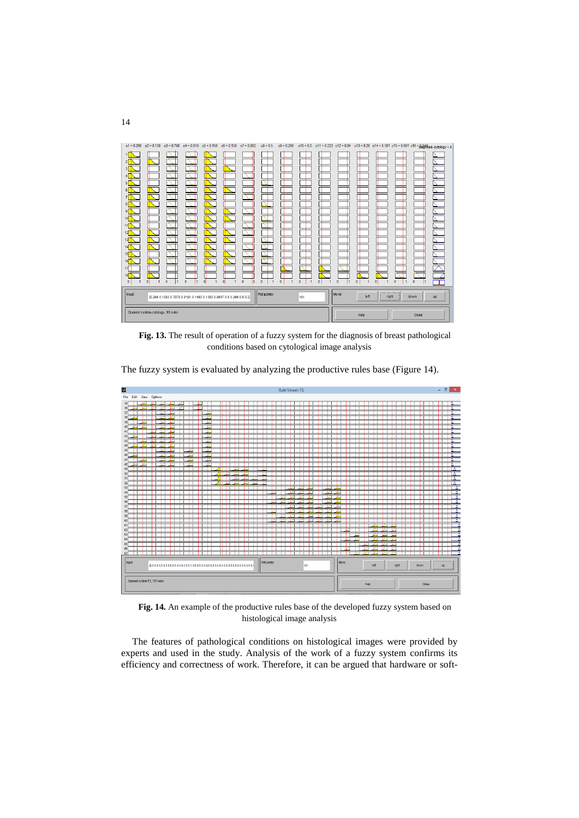

**Fig. 13.** The result of operation of a fuzzy system for the diagnosis of breast pathological conditions based on cytological image analysis



The fuzzy system is evaluated by analyzing the productive rules base (Figure 14).

**Fig. 14.** An example of the productive rules base of the developed fuzzy system based on histological image analysis

The features of pathological conditions on histological images were provided by experts and used in the study. Analysis of the work of a fuzzy system confirms its efficiency and correctness of work. Therefore, it can be argued that hardware or soft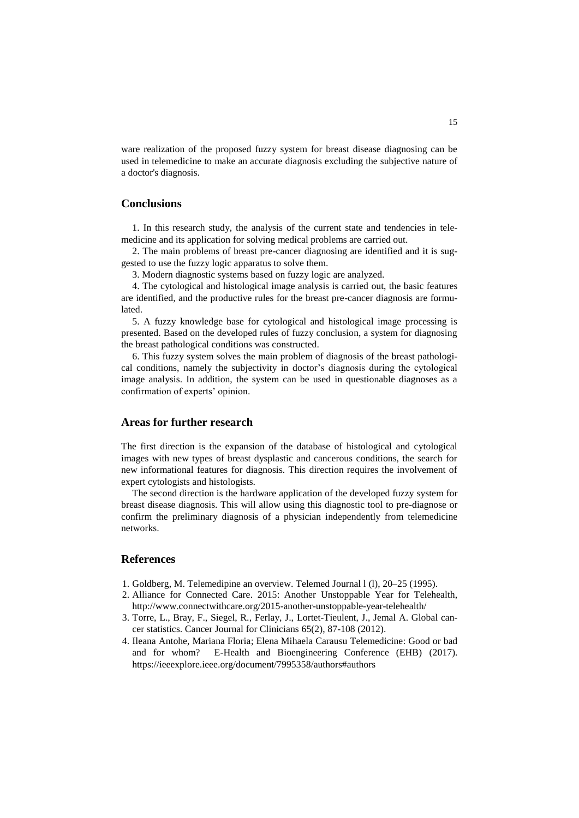ware realization of the proposed fuzzy system for breast disease diagnosing can be used in telemedicine to make an accurate diagnosis excluding the subjective nature of a doctor's diagnosis.

#### **Conclusions**

1. In this research study, the analysis of the current state and tendencies in telemedicine and its application for solving medical problems are carried out.

2. The main problems of breast pre-cancer diagnosing are identified and it is suggested to use the fuzzy logic apparatus to solve them.

3. Modern diagnostic systems based on fuzzy logic are analyzed.

4. The cytological and histological image analysis is carried out, the basic features are identified, and the productive rules for the breast pre-cancer diagnosis are formulated.

5. A fuzzy knowledge base for cytological and histological image processing is presented. Based on the developed rules of fuzzy conclusion, a system for diagnosing the breast pathological conditions was constructed.

6. This fuzzy system solves the main problem of diagnosis of the breast pathological conditions, namely the subjectivity in doctor's diagnosis during the cytological image analysis. In addition, the system can be used in questionable diagnoses as a confirmation of experts' opinion.

#### **Areas for further research**

The first direction is the expansion of the database of histological and cytological images with new types of breast dysplastic and cancerous conditions, the search for new informational features for diagnosis. This direction requires the involvement of expert cytologists and histologists.

The second direction is the hardware application of the developed fuzzy system for breast disease diagnosis. This will allow using this diagnostic tool to pre-diagnose or confirm the preliminary diagnosis of a physician independently from telemedicine networks.

### **References**

- 1. Goldberg, M. Telemedipine an overview. Telemed Journal l (l), 20–25 (1995).
- 2. Alliance for Connected Care. 2015: Another Unstoppable Year for Telehealth, http://www.connectwithcare.org/2015-another-unstoppable-year-telehealth/
- 3. Torre, L., Bray, F., Siegel, R., Ferlay, J., Lortet-Tieulent, J., Jemal A. Global cancer statistics. Cancer Journal for Clinicians 65(2), 87-108 (2012).
- 4. Ileana Antohe, [Mariana Floria;](https://ieeexplore.ieee.org/search/searchresult.jsp?searchWithin=%22First%20Name%22:%22Mariana%22&searchWithin=%22Last%20Name%22:%22Floria%22&newsearch=true) [Elena Mihaela Carausu T](https://ieeexplore.ieee.org/search/searchresult.jsp?searchWithin=%22First%20Name%22:%22Elena%20Mihaela%22&searchWithin=%22Last%20Name%22:%22Carausu%22&newsearch=true)elemedicine: Good or bad and for whom? [E-Health and Bioengineering Conference \(EHB\)](https://ieeexplore.ieee.org/xpl/mostRecentIssue.jsp?punumber=7987616) (2017). <https://ieeexplore.ieee.org/document/7995358/authors#authors>